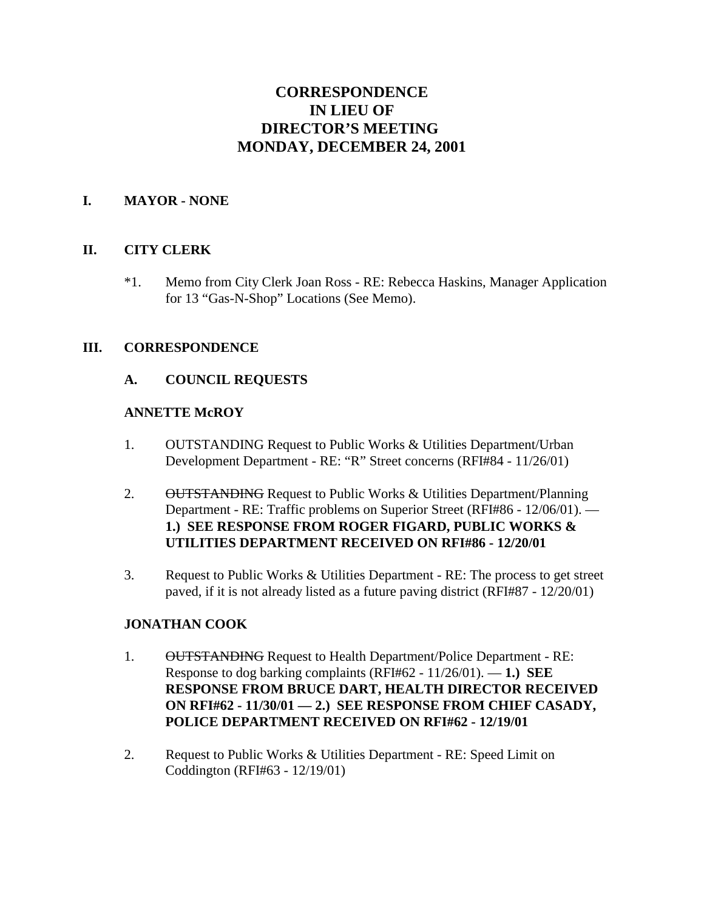# **CORRESPONDENCE IN LIEU OF DIRECTOR'S MEETING MONDAY, DECEMBER 24, 2001**

### **I. MAYOR - NONE**

### **II. CITY CLERK**

\*1. Memo from City Clerk Joan Ross - RE: Rebecca Haskins, Manager Application for 13 "Gas-N-Shop" Locations (See Memo).

### **III. CORRESPONDENCE**

### **A. COUNCIL REQUESTS**

#### **ANNETTE McROY**

- 1. OUTSTANDING Request to Public Works & Utilities Department/Urban Development Department - RE: "R" Street concerns (RFI#84 - 11/26/01)
- 2. OUTSTANDING Request to Public Works & Utilities Department/Planning Department - RE: Traffic problems on Superior Street (RFI#86 - 12/06/01). — **1.) SEE RESPONSE FROM ROGER FIGARD, PUBLIC WORKS & UTILITIES DEPARTMENT RECEIVED ON RFI#86 - 12/20/01**
- 3. Request to Public Works & Utilities Department RE: The process to get street paved, if it is not already listed as a future paving district (RFI#87 - 12/20/01)

### **JONATHAN COOK**

- 1. OUTSTANDING Request to Health Department/Police Department RE: Response to dog barking complaints (RFI#62 - 11/26/01). — **1.) SEE RESPONSE FROM BRUCE DART, HEALTH DIRECTOR RECEIVED ON RFI#62 - 11/30/01 — 2.) SEE RESPONSE FROM CHIEF CASADY, POLICE DEPARTMENT RECEIVED ON RFI#62 - 12/19/01**
- 2. Request to Public Works & Utilities Department RE: Speed Limit on Coddington (RFI#63 - 12/19/01)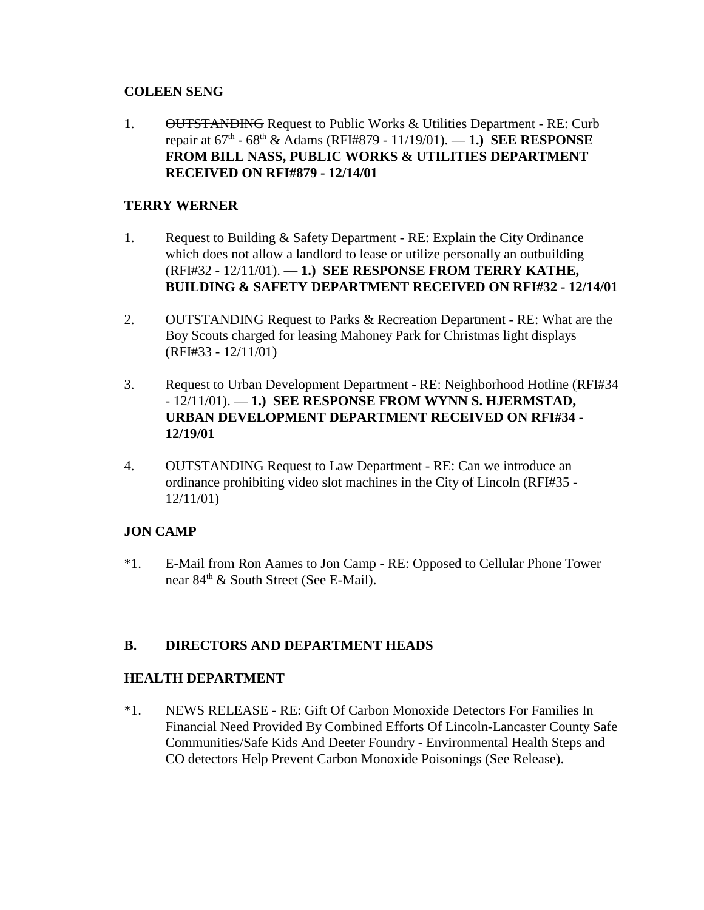### **COLEEN SENG**

1. OUTSTANDING Request to Public Works & Utilities Department - RE: Curb repair at 67th - 68th & Adams (RFI#879 - 11/19/01). — **1.) SEE RESPONSE FROM BILL NASS, PUBLIC WORKS & UTILITIES DEPARTMENT RECEIVED ON RFI#879 - 12/14/01** 

### **TERRY WERNER**

- 1. Request to Building & Safety Department RE: Explain the City Ordinance which does not allow a landlord to lease or utilize personally an outbuilding (RFI#32 - 12/11/01). — **1.) SEE RESPONSE FROM TERRY KATHE, BUILDING & SAFETY DEPARTMENT RECEIVED ON RFI#32 - 12/14/01**
- 2. OUTSTANDING Request to Parks & Recreation Department RE: What are the Boy Scouts charged for leasing Mahoney Park for Christmas light displays (RFI#33 - 12/11/01)
- 3. Request to Urban Development Department RE: Neighborhood Hotline (RFI#34 - 12/11/01). — **1.) SEE RESPONSE FROM WYNN S. HJERMSTAD, URBAN DEVELOPMENT DEPARTMENT RECEIVED ON RFI#34 - 12/19/01**
- 4. OUTSTANDING Request to Law Department RE: Can we introduce an ordinance prohibiting video slot machines in the City of Lincoln (RFI#35 - 12/11/01)

## **JON CAMP**

\*1. E-Mail from Ron Aames to Jon Camp - RE: Opposed to Cellular Phone Tower near  $84<sup>th</sup>$  & South Street (See E-Mail).

## **B. DIRECTORS AND DEPARTMENT HEADS**

### **HEALTH DEPARTMENT**

\*1. NEWS RELEASE - RE: Gift Of Carbon Monoxide Detectors For Families In Financial Need Provided By Combined Efforts Of Lincoln-Lancaster County Safe Communities/Safe Kids And Deeter Foundry - Environmental Health Steps and CO detectors Help Prevent Carbon Monoxide Poisonings (See Release).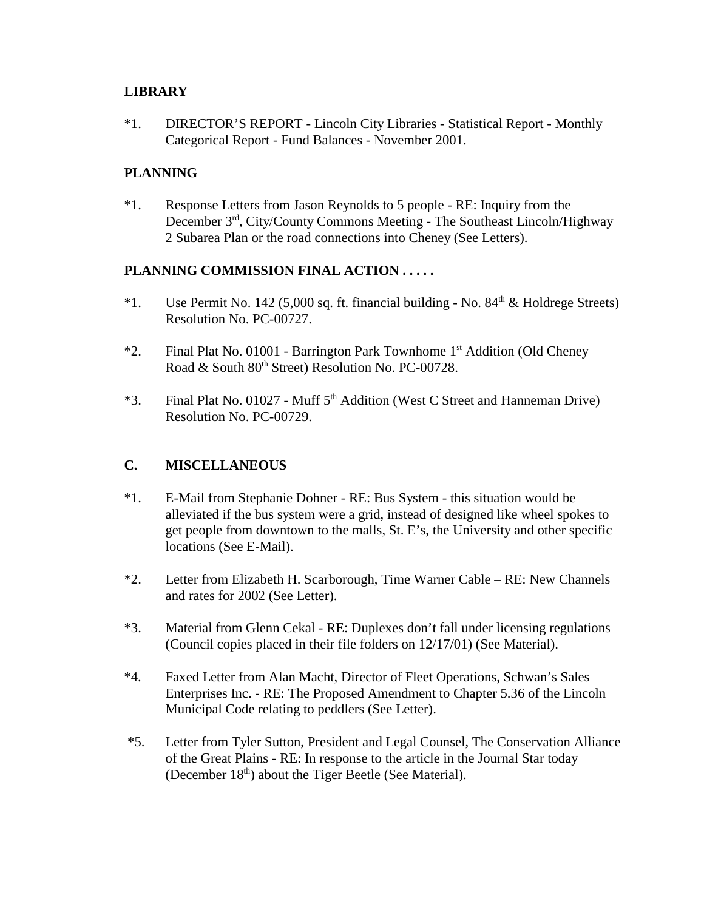#### **LIBRARY**

\*1. DIRECTOR'S REPORT - Lincoln City Libraries - Statistical Report - Monthly Categorical Report - Fund Balances - November 2001.

### **PLANNING**

\*1. Response Letters from Jason Reynolds to 5 people - RE: Inquiry from the December 3rd, City/County Commons Meeting - The Southeast Lincoln/Highway 2 Subarea Plan or the road connections into Cheney (See Letters).

#### **PLANNING COMMISSION FINAL ACTION . . . . .**

- <sup>\*</sup>1. Use Permit No. 142 (5,000 sq. ft. financial building No.  $84<sup>th</sup>$  & Holdrege Streets) Resolution No. PC-00727.
- \*2. Final Plat No. 01001 Barrington Park Townhome 1st Addition (Old Cheney Road & South 80<sup>th</sup> Street) Resolution No. PC-00728.
- \*3. Final Plat No. 01027 Muff  $5<sup>th</sup>$  Addition (West C Street and Hanneman Drive) Resolution No. PC-00729.

### **C. MISCELLANEOUS**

- \*1. E-Mail from Stephanie Dohner RE: Bus System this situation would be alleviated if the bus system were a grid, instead of designed like wheel spokes to get people from downtown to the malls, St. E's, the University and other specific locations (See E-Mail).
- \*2. Letter from Elizabeth H. Scarborough, Time Warner Cable RE: New Channels and rates for 2002 (See Letter).
- \*3. Material from Glenn Cekal RE: Duplexes don't fall under licensing regulations (Council copies placed in their file folders on 12/17/01) (See Material).
- \*4. Faxed Letter from Alan Macht, Director of Fleet Operations, Schwan's Sales Enterprises Inc. - RE: The Proposed Amendment to Chapter 5.36 of the Lincoln Municipal Code relating to peddlers (See Letter).
- \*5. Letter from Tyler Sutton, President and Legal Counsel, The Conservation Alliance of the Great Plains - RE: In response to the article in the Journal Star today (December  $18<sup>th</sup>$ ) about the Tiger Beetle (See Material).